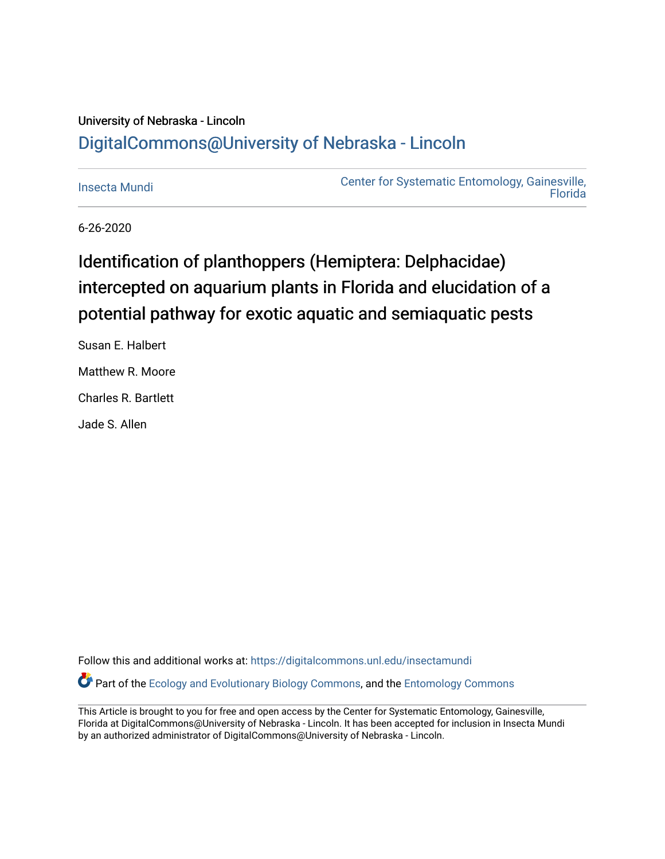# University of Nebraska - Lincoln [DigitalCommons@University of Nebraska - Lincoln](https://digitalcommons.unl.edu/)

[Insecta Mundi](https://digitalcommons.unl.edu/insectamundi) [Center for Systematic Entomology, Gainesville,](https://digitalcommons.unl.edu/centersystematicentomology)  **Florida** 

6-26-2020

# Identification of planthoppers (Hemiptera: Delphacidae) intercepted on aquarium plants in Florida and elucidation of a potential pathway for exotic aquatic and semiaquatic pests

Susan E. Halbert Matthew R. Moore Charles R. Bartlett Jade S. Allen

Follow this and additional works at: [https://digitalcommons.unl.edu/insectamundi](https://digitalcommons.unl.edu/insectamundi?utm_source=digitalcommons.unl.edu%2Finsectamundi%2F1426&utm_medium=PDF&utm_campaign=PDFCoverPages)  **P** Part of the [Ecology and Evolutionary Biology Commons](http://network.bepress.com/hgg/discipline/14?utm_source=digitalcommons.unl.edu%2Finsectamundi%2F1426&utm_medium=PDF&utm_campaign=PDFCoverPages), and the Entomology Commons

This Article is brought to you for free and open access by the Center for Systematic Entomology, Gainesville, Florida at DigitalCommons@University of Nebraska - Lincoln. It has been accepted for inclusion in Insecta Mundi by an authorized administrator of DigitalCommons@University of Nebraska - Lincoln.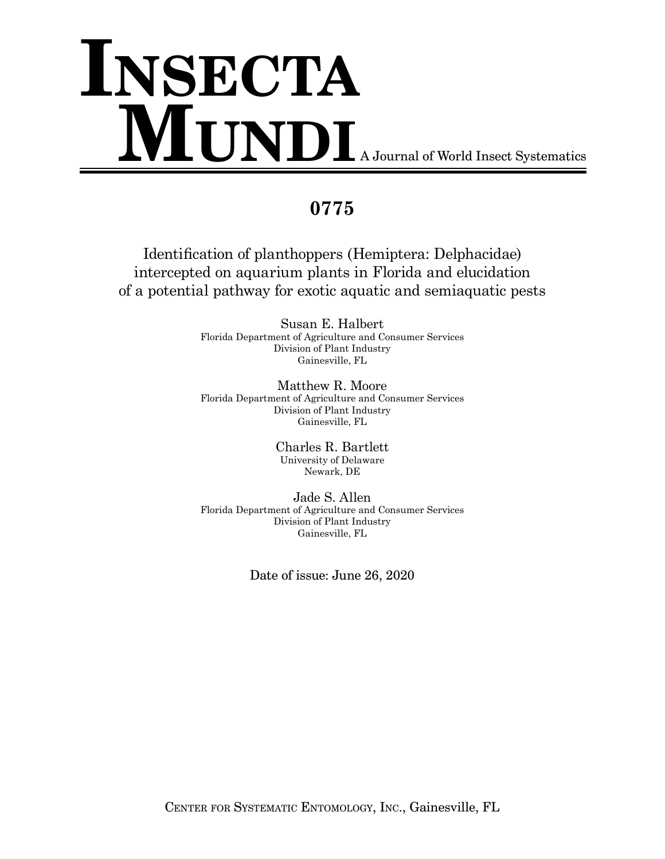# **Insecta MUNDI** A Journal of World Insect Systematics

# **0775**

Identification of planthoppers (Hemiptera: Delphacidae) intercepted on aquarium plants in Florida and elucidation of a potential pathway for exotic aquatic and semiaquatic pests

> Susan E. Halbert Florida Department of Agriculture and Consumer Services Division of Plant Industry Gainesville, FL

> Matthew R. Moore Florida Department of Agriculture and Consumer Services Division of Plant Industry Gainesville, FL

> > Charles R. Bartlett University of Delaware Newark, DE

Jade S. Allen Florida Department of Agriculture and Consumer Services Division of Plant Industry Gainesville, FL

Date of issue: June 26, 2020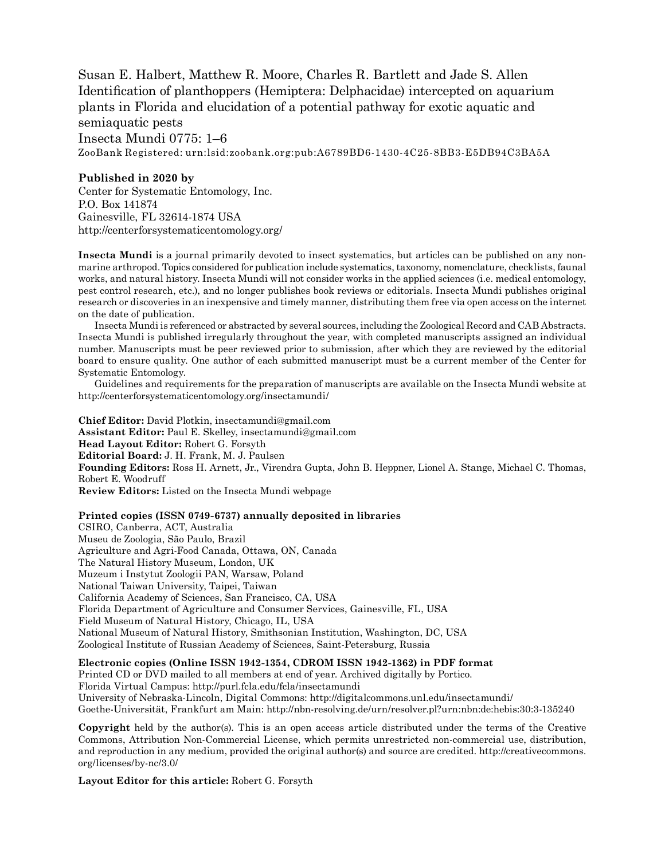Susan E. Halbert, Matthew R. Moore, Charles R. Bartlett and Jade S. Allen Identification of planthoppers (Hemiptera: Delphacidae) intercepted on aquarium plants in Florida and elucidation of a potential pathway for exotic aquatic and semiaquatic pests

Insecta Mundi 0775: 1–6 ZooBank Registered: urn:lsid:zoobank.org:pub:A6789BD6-1430-4C25-8BB3-E5DB94C3BA5A

## **Published in 2020 by**

Center for Systematic Entomology, Inc. P.O. Box 141874 Gainesville, FL 32614-1874 USA <http://centerforsystematicentomology.org/>

**Insecta Mundi** is a journal primarily devoted to insect systematics, but articles can be published on any nonmarine arthropod. Topics considered for publication include systematics, taxonomy, nomenclature, checklists, faunal works, and natural history. Insecta Mundi will not consider works in the applied sciences (i.e. medical entomology, pest control research, etc.), and no longer publishes book reviews or editorials. Insecta Mundi publishes original research or discoveries in an inexpensive and timely manner, distributing them free via open access on the internet on the date of publication.

Insecta Mundi is referenced or abstracted by several sources, including the Zoological Record and CAB Abstracts. Insecta Mundi is published irregularly throughout the year, with completed manuscripts assigned an individual number. Manuscripts must be peer reviewed prior to submission, after which they are reviewed by the editorial board to ensure quality. One author of each submitted manuscript must be a current member of the Center for Systematic Entomology.

Guidelines and requirements for the preparation of manuscripts are available on the Insecta Mundi website at http://centerforsystematicentomology.org/insectamundi/

**Chief Editor:** David Plotkin, insectamundi@gmail.com **Assistant Editor:** Paul E. Skelley, insectamundi@gmail.com **Head Layout Editor:** Robert G. Forsyth **Editorial Board:** J. H. Frank, M. J. Paulsen **Founding Editors:** Ross H. Arnett, Jr., Virendra Gupta, John B. Heppner, Lionel A. Stange, Michael C. Thomas, Robert E. Woodruff **Review Editors:** Listed on the Insecta Mundi webpage

#### **Printed copies (ISSN 0749-6737) annually deposited in libraries**

CSIRO, Canberra, ACT, Australia Museu de Zoologia, São Paulo, Brazil Agriculture and Agri-Food Canada, Ottawa, ON, Canada The Natural History Museum, London, UK Muzeum i Instytut Zoologii PAN, Warsaw, Poland National Taiwan University, Taipei, Taiwan California Academy of Sciences, San Francisco, CA, USA Florida Department of Agriculture and Consumer Services, Gainesville, FL, USA Field Museum of Natural History, Chicago, IL, USA National Museum of Natural History, Smithsonian Institution, Washington, DC, USA Zoological Institute of Russian Academy of Sciences, Saint-Petersburg, Russia

**Electronic copies (Online ISSN 1942-1354, CDROM ISSN 1942-1362) in PDF format**

Printed CD or DVD mailed to all members at end of year. Archived digitally by Portico.

Florida Virtual Campus:<http://purl.fcla.edu/fcla/insectamundi>

University of Nebraska-Lincoln, Digital Commons:<http://digitalcommons.unl.edu/insectamundi/> Goethe-Universität, Frankfurt am Main: <http://nbn-resolving.de/urn/resolver.pl?urn:nbn:de:hebis:30:3-135240>

**Copyright** held by the author(s). This is an open access article distributed under the terms of the Creative Commons, Attribution Non-Commercial License, which permits unrestricted non-commercial use, distribution, and reproduction in any medium, provided the original author(s) and source are credited. [http://creativecommons.](http://creativecommons.org/licenses/by-nc/3.0/) [org/licenses/by-nc/3.0/](http://creativecommons.org/licenses/by-nc/3.0/)

**Layout Editor for this article:** Robert G. Forsyth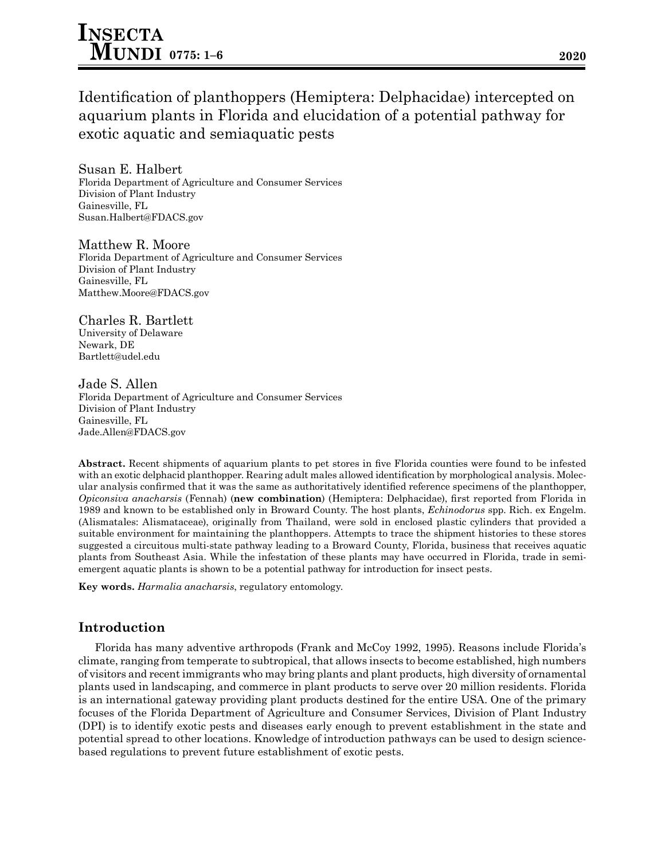# Identification of planthoppers (Hemiptera: Delphacidae) intercepted on aquarium plants in Florida and elucidation of a potential pathway for exotic aquatic and semiaquatic pests

Susan E. Halbert Florida Department of Agriculture and Consumer Services Division of Plant Industry Gainesville, FL [Susan.Halbert@FDACS.gov](mailto:Susan.Halbert@FDACS.gov)

Matthew R. Moore Florida Department of Agriculture and Consumer Services Division of Plant Industry Gainesville, FL [Matthew.Moore@FDACS.gov](mailto:Matthew.Moore@FDACS.gov)

Charles R. Bartlett University of Delaware Newark, DE [Bartlett@udel.edu](mailto:Bartlett@udel.edu)

Jade S. Allen Florida Department of Agriculture and Consumer Services Division of Plant Industry Gainesville, FL [Jade.Allen@FDACS.gov](mailto:Jade.Allen@FDACS.gov)

**Abstract.** Recent shipments of aquarium plants to pet stores in five Florida counties were found to be infested with an exotic delphacid planthopper. Rearing adult males allowed identification by morphological analysis. Molecular analysis confirmed that it was the same as authoritatively identified reference specimens of the planthopper, *Opiconsiva anacharsis* (Fennah) (**new combination**) (Hemiptera: Delphacidae), first reported from Florida in 1989 and known to be established only in Broward County. The host plants, *Echinodorus* spp. Rich. ex Engelm. (Alismatales: Alismataceae), originally from Thailand, were sold in enclosed plastic cylinders that provided a suitable environment for maintaining the planthoppers. Attempts to trace the shipment histories to these stores suggested a circuitous multi-state pathway leading to a Broward County, Florida, business that receives aquatic plants from Southeast Asia. While the infestation of these plants may have occurred in Florida, trade in semiemergent aquatic plants is shown to be a potential pathway for introduction for insect pests.

**Key words.** *Harmalia anacharsis*, regulatory entomology.

# **Introduction**

Florida has many adventive arthropods (Frank and McCoy 1992, 1995). Reasons include Florida's climate, ranging from temperate to subtropical, that allows insects to become established, high numbers of visitors and recent immigrants who may bring plants and plant products, high diversity of ornamental plants used in landscaping, and commerce in plant products to serve over 20 million residents. Florida is an international gateway providing plant products destined for the entire USA. One of the primary focuses of the Florida Department of Agriculture and Consumer Services, Division of Plant Industry (DPI) is to identify exotic pests and diseases early enough to prevent establishment in the state and potential spread to other locations. Knowledge of introduction pathways can be used to design sciencebased regulations to prevent future establishment of exotic pests.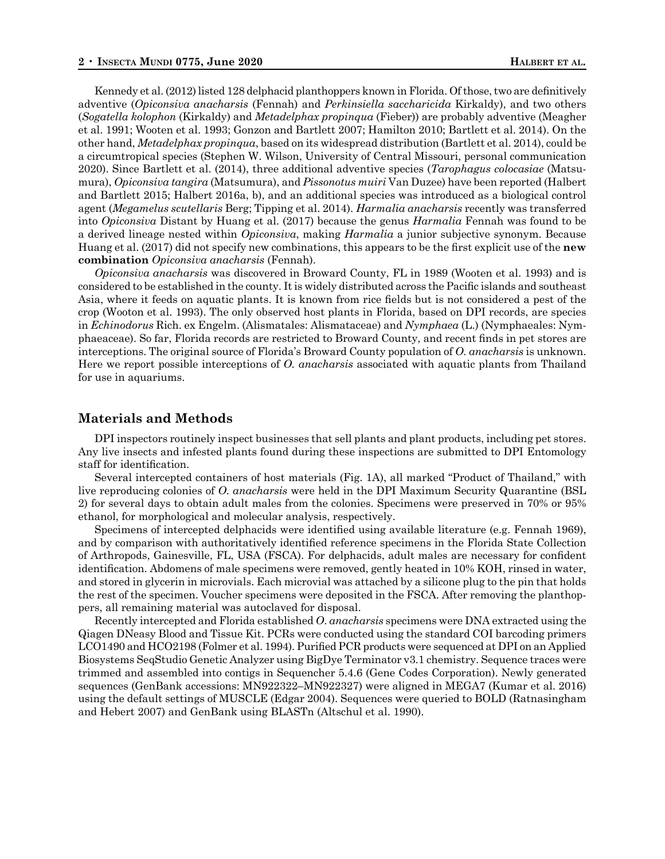Kennedy et al. (2012) listed 128 delphacid planthoppers known in Florida. Of those, two are definitively adventive (*Opiconsiva anacharsis* (Fennah) and *Perkinsiella saccharicida* Kirkaldy), and two others (*Sogatella kolophon* (Kirkaldy) and *Metadelphax propinqua* (Fieber)) are probably adventive (Meagher et al. 1991; Wooten et al. 1993; Gonzon and Bartlett 2007; Hamilton 2010; Bartlett et al. 2014). On the other hand, *Metadelphax propinqua*, based on its widespread distribution (Bartlett et al. 2014), could be a circumtropical species (Stephen W. Wilson, University of Central Missouri, personal communication 2020). Since Bartlett et al. (2014), three additional adventive species (*Tarophagus colocasiae* (Matsumura), *Opiconsiva tangira* (Matsumura), and *Pissonotus muiri* Van Duzee) have been reported (Halbert and Bartlett 2015; Halbert 2016a, b), and an additional species was introduced as a biological control agent (*Megamelus scutellaris* Berg; Tipping et al. 2014). *Harmalia anacharsis* recently was transferred into *Opiconsiva* Distant by Huang et al. (2017) because the genus *Harmalia* Fennah was found to be a derived lineage nested within *Opiconsiva*, making *Harmalia* a junior subjective synonym. Because Huang et al. (2017) did not specify new combinations, this appears to be the first explicit use of the **new combination** *Opiconsiva anacharsis* (Fennah).

*Opiconsiva anacharsis* was discovered in Broward County, FL in 1989 (Wooten et al. 1993) and is considered to be established in the county. It is widely distributed across the Pacific islands and southeast Asia, where it feeds on aquatic plants. It is known from rice fields but is not considered a pest of the crop (Wooton et al. 1993). The only observed host plants in Florida, based on DPI records, are species in *Echinodorus* Rich. ex Engelm. (Alismatales: Alismataceae) and *Nymphaea* (L.) (Nymphaeales: Nymphaeaceae). So far, Florida records are restricted to Broward County, and recent finds in pet stores are interceptions. The original source of Florida's Broward County population of *O. anacharsis* is unknown. Here we report possible interceptions of *O. anacharsis* associated with aquatic plants from Thailand for use in aquariums.

## **Materials and Methods**

DPI inspectors routinely inspect businesses that sell plants and plant products, including pet stores. Any live insects and infested plants found during these inspections are submitted to DPI Entomology staff for identification.

Several intercepted containers of host materials (Fig. 1A), all marked "Product of Thailand," with live reproducing colonies of *O. anacharsis* were held in the DPI Maximum Security Quarantine (BSL 2) for several days to obtain adult males from the colonies. Specimens were preserved in 70% or 95% ethanol, for morphological and molecular analysis, respectively.

Specimens of intercepted delphacids were identified using available literature (e.g. Fennah 1969), and by comparison with authoritatively identified reference specimens in the Florida State Collection of Arthropods, Gainesville, FL, USA (FSCA). For delphacids, adult males are necessary for confident identification. Abdomens of male specimens were removed, gently heated in 10% KOH, rinsed in water, and stored in glycerin in microvials. Each microvial was attached by a silicone plug to the pin that holds the rest of the specimen. Voucher specimens were deposited in the FSCA. After removing the planthoppers, all remaining material was autoclaved for disposal.

Recently intercepted and Florida established *O*. *anacharsis* specimens were DNA extracted using the Qiagen DNeasy Blood and Tissue Kit. PCRs were conducted using the standard COI barcoding primers LCO1490 and HCO2198 (Folmer et al. 1994). Purified PCR products were sequenced at DPI on an Applied Biosystems SeqStudio Genetic Analyzer using BigDye Terminator v3.1 chemistry. Sequence traces were trimmed and assembled into contigs in Sequencher 5.4.6 (Gene Codes Corporation). Newly generated sequences (GenBank accessions: MN922322–MN922327) were aligned in MEGA7 (Kumar et al. 2016) using the default settings of MUSCLE (Edgar 2004). Sequences were queried to BOLD (Ratnasingham and Hebert 2007) and GenBank using BLASTn (Altschul et al. 1990).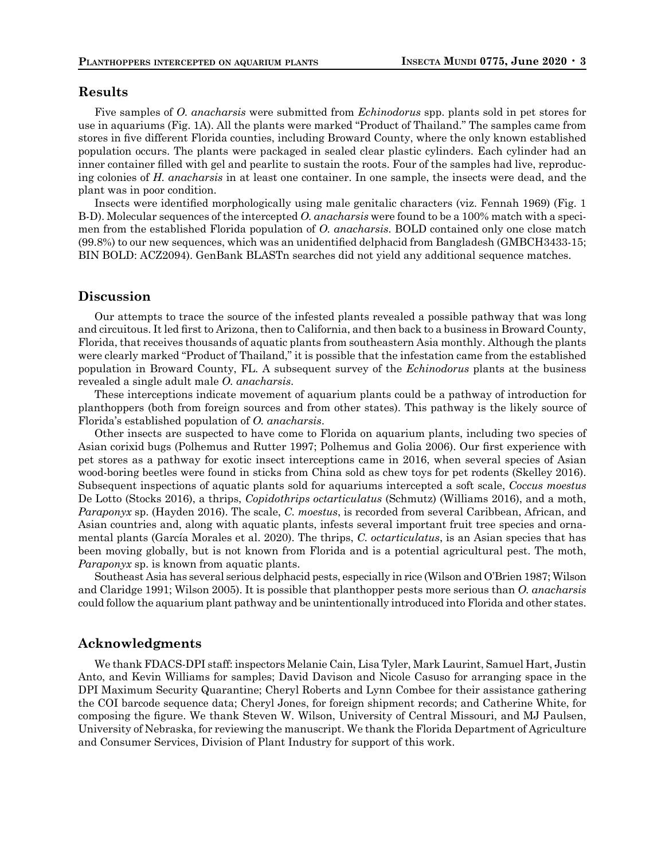## **Results**

Five samples of *O. anacharsis* were submitted from *Echinodorus* spp. plants sold in pet stores for use in aquariums (Fig. 1A). All the plants were marked "Product of Thailand." The samples came from stores in five different Florida counties, including Broward County, where the only known established population occurs. The plants were packaged in sealed clear plastic cylinders. Each cylinder had an inner container filled with gel and pearlite to sustain the roots. Four of the samples had live, reproducing colonies of *H. anacharsis* in at least one container. In one sample, the insects were dead, and the plant was in poor condition.

Insects were identified morphologically using male genitalic characters (viz. Fennah 1969) (Fig. 1 B-D). Molecular sequences of the intercepted *O. anacharsis* were found to be a 100% match with a specimen from the established Florida population of *O. anacharsis*. BOLD contained only one close match (99.8%) to our new sequences, which was an unidentified delphacid from Bangladesh (GMBCH3433-15; BIN BOLD: ACZ2094). GenBank BLASTn searches did not yield any additional sequence matches.

## **Discussion**

Our attempts to trace the source of the infested plants revealed a possible pathway that was long and circuitous. It led first to Arizona, then to California, and then back to a business in Broward County, Florida, that receives thousands of aquatic plants from southeastern Asia monthly. Although the plants were clearly marked "Product of Thailand," it is possible that the infestation came from the established population in Broward County, FL. A subsequent survey of the *Echinodorus* plants at the business revealed a single adult male *O. anacharsis*.

These interceptions indicate movement of aquarium plants could be a pathway of introduction for planthoppers (both from foreign sources and from other states). This pathway is the likely source of Florida's established population of *O. anacharsis*.

Other insects are suspected to have come to Florida on aquarium plants, including two species of Asian corixid bugs (Polhemus and Rutter 1997; Polhemus and Golia 2006). Our first experience with pet stores as a pathway for exotic insect interceptions came in 2016, when several species of Asian wood-boring beetles were found in sticks from China sold as chew toys for pet rodents (Skelley 2016). Subsequent inspections of aquatic plants sold for aquariums intercepted a soft scale, *Coccus moestus* De Lotto (Stocks 2016), a thrips, *Copidothrips octarticulatus* (Schmutz) (Williams 2016), and a moth, *Paraponyx* sp. (Hayden 2016). The scale, *C. moestus*, is recorded from several Caribbean, African, and Asian countries and, along with aquatic plants, infests several important fruit tree species and ornamental plants (García Morales et al. 2020). The thrips, *C. octarticulatus*, is an Asian species that has been moving globally, but is not known from Florida and is a potential agricultural pest. The moth, *Paraponyx* sp. is known from aquatic plants.

Southeast Asia has several serious delphacid pests, especially in rice (Wilson and O'Brien 1987; Wilson and Claridge 1991; Wilson 2005). It is possible that planthopper pests more serious than *O. anacharsis* could follow the aquarium plant pathway and be unintentionally introduced into Florida and other states.

#### **Acknowledgments**

We thank FDACS-DPI staff: inspectors Melanie Cain, Lisa Tyler, Mark Laurint, Samuel Hart, Justin Anto, and Kevin Williams for samples; David Davison and Nicole Casuso for arranging space in the DPI Maximum Security Quarantine; Cheryl Roberts and Lynn Combee for their assistance gathering the COI barcode sequence data; Cheryl Jones, for foreign shipment records; and Catherine White, for composing the figure. We thank Steven W. Wilson, University of Central Missouri, and MJ Paulsen, University of Nebraska, for reviewing the manuscript. We thank the Florida Department of Agriculture and Consumer Services, Division of Plant Industry for support of this work.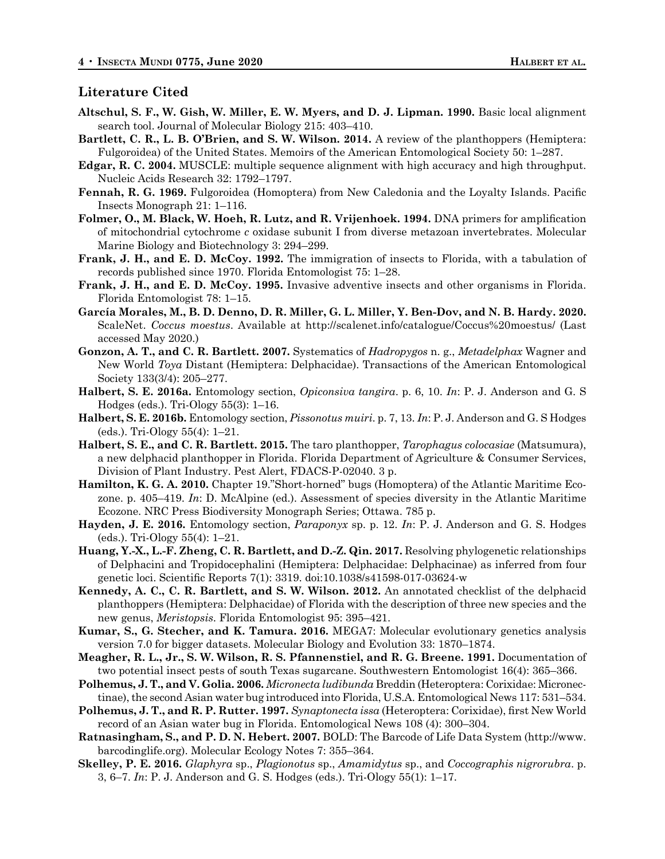# **Literature Cited**

- **Altschul, S. F., W. Gish, W. Miller, E. W. Myers, and D. J. Lipman. 1990.** Basic local alignment search tool. Journal of Molecular Biology 215: 403–410.
- **Bartlett, C. R., L. B. O'Brien, and S. W. Wilson. 2014.** A review of the planthoppers (Hemiptera: Fulgoroidea) of the United States. Memoirs of the American Entomological Society 50: 1–287.
- **Edgar, R. C. 2004.** MUSCLE: multiple sequence alignment with high accuracy and high throughput. Nucleic Acids Research 32: 1792–1797.
- **Fennah, R. G. 1969.** Fulgoroidea (Homoptera) from New Caledonia and the Loyalty Islands. Pacific Insects Monograph 21: 1–116.
- **Folmer, O., M. Black, W. Hoeh, R. Lutz, and R. Vrijenhoek. 1994.** DNA primers for amplification of mitochondrial cytochrome *c* oxidase subunit I from diverse metazoan invertebrates. Molecular Marine Biology and Biotechnology 3: 294–299.
- **Frank, J. H., and E. D. McCoy. 1992.** The immigration of insects to Florida, with a tabulation of records published since 1970. Florida Entomologist 75: 1–28.
- **Frank, J. H., and E. D. McCoy. 1995.** Invasive adventive insects and other organisms in Florida. Florida Entomologist 78: 1–15.
- **García Morales, M., B. D. Denno, D. R. Miller, G. L. Miller, Y. Ben-Dov, and N. B. Hardy. 2020.** ScaleNet. *Coccus moestus*. Available at <http://scalenet.info/catalogue/Coccus%20moestus/>(Last accessed May 2020.)
- **Gonzon, A. T., and C. R. Bartlett. 2007.** Systematics of *Hadropygos* n. g., *Metadelphax* Wagner and New World *Toya* Distant (Hemiptera: Delphacidae). Transactions of the American Entomological Society 133(3/4): 205–277.
- **Halbert, S. E. 2016a.** Entomology section, *Opiconsiva tangira*. p. 6, 10. *In*: P. J. Anderson and G. S Hodges (eds.). Tri-Ology 55(3): 1–16.
- **Halbert, S. E. 2016b.** Entomology section, *Pissonotus muiri*. p. 7, 13. *In*: P. J. Anderson and G. S Hodges (eds.). Tri-Ology 55(4): 1–21.
- **Halbert, S. E., and C. R. Bartlett. 2015.** The taro planthopper, *Tarophagus colocasiae* (Matsumura), a new delphacid planthopper in Florida. Florida Department of Agriculture & Consumer Services, Division of Plant Industry. Pest Alert, FDACS-P-02040. 3 p.
- **Hamilton, K. G. A. 2010.** Chapter 19."Short-horned" bugs (Homoptera) of the Atlantic Maritime Ecozone. p. 405–419. *In*: D. McAlpine (ed.). Assessment of species diversity in the Atlantic Maritime Ecozone. NRC Press Biodiversity Monograph Series; Ottawa. 785 p.
- **Hayden, J. E. 2016.** Entomology section, *Paraponyx* sp. p. 12. *In*: P. J. Anderson and G. S. Hodges (eds.). Tri-Ology 55(4): 1–21.
- **Huang, Y.-X., L.-F. Zheng, C. R. Bartlett, and D.-Z. Qin. 2017.** Resolving phylogenetic relationships of Delphacini and Tropidocephalini (Hemiptera: Delphacidae: Delphacinae) as inferred from four genetic loci. Scientific Reports 7(1): 3319. doi[:10.1038/s41598-017-03624-w](https://doi.org/10.1038/s41598-017-03624-w)
- **Kennedy, A. C., C. R. Bartlett, and S. W. Wilson. 2012.** An annotated checklist of the delphacid planthoppers (Hemiptera: Delphacidae) of Florida with the description of three new species and the new genus, *Meristopsis*. Florida Entomologist 95: 395–421.
- **Kumar, S., G. Stecher, and K. Tamura. 2016.** MEGA7: Molecular evolutionary genetics analysis version 7.0 for bigger datasets. Molecular Biology and Evolution 33: 1870–1874.
- **Meagher, R. L., Jr., S. W. Wilson, R. S. Pfannenstiel, and R. G. Breene. 1991.** Documentation of two potential insect pests of south Texas sugarcane. Southwestern Entomologist 16(4): 365–366.
- **Polhemus, J. T., and V. Golia. 2006.** *Micronecta ludibunda* Breddin (Heteroptera: Corixidae: Micronectinae), the second Asian water bug introduced into Florida, U.S.A. Entomological News 117: 531–534.
- **Polhemus, J. T., and R. P. Rutter. 1997.** *Synaptonecta issa* (Heteroptera: Corixidae), first New World record of an Asian water bug in Florida. Entomological News 108 (4): 300–304.
- **Ratnasingham, S., and P. D. N. Hebert. 2007.** BOLD: The Barcode of Life Data System [\(http://www.](http://www.barcodinglife.org) [barcodinglife.org](http://www.barcodinglife.org)). Molecular Ecology Notes 7: 355–364.
- **Skelley, P. E. 2016.** *Glaphyra* sp., *Plagionotus* sp., *Amamidytus* sp., and *Coccographis nigrorubra*. p. 3, 6–7. *In*: P. J. Anderson and G. S. Hodges (eds.). Tri-Ology 55(1): 1–17.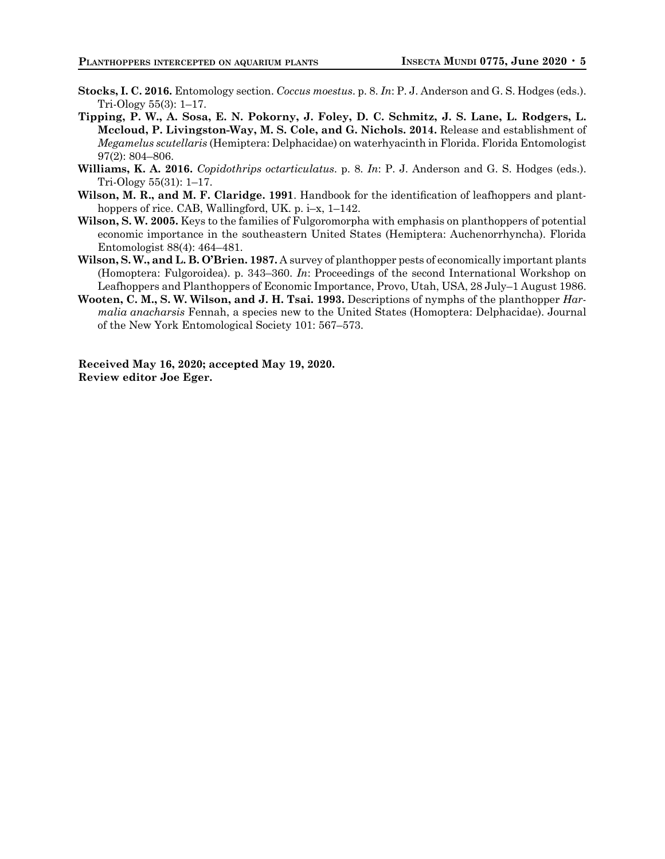- **Stocks, I. C. 2016.** Entomology section. *Coccus moestus*. p. 8. *In*: P. J. Anderson and G. S. Hodges (eds.). Tri-Ology 55(3): 1–17.
- **Tipping, P. W., A. Sosa, E. N. Pokorny, J. Foley, D. C. Schmitz, J. S. Lane, L. Rodgers, L. Mccloud, P. Livingston-Way, M. S. Cole, and G. Nichols. 2014.** Release and establishment of *Megamelus scutellaris* (Hemiptera: Delphacidae) on waterhyacinth in Florida. Florida Entomologist 97(2): 804–806.
- **Williams, K. A. 2016.** *Copidothrips octarticulatus*. p. 8. *In*: P. J. Anderson and G. S. Hodges (eds.). Tri-Ology 55(31): 1–17.
- **Wilson, M. R., and M. F. Claridge. 1991**. Handbook for the identification of leafhoppers and planthoppers of rice. CAB, Wallingford, UK. p. i–x, 1–142.
- **Wilson, S. W. 2005.** Keys to the families of Fulgoromorpha with emphasis on planthoppers of potential economic importance in the southeastern United States (Hemiptera: Auchenorrhyncha). Florida Entomologist 88(4): 464–481.
- **Wilson, S. W., and L. B. O'Brien. 1987.** A survey of planthopper pests of economically important plants (Homoptera: Fulgoroidea). p. 343–360. *In*: Proceedings of the second International Workshop on Leafhoppers and Planthoppers of Economic Importance, Provo, Utah, USA, 28 July–1 August 1986.
- **Wooten, C. M., S. W. Wilson, and J. H. Tsai. 1993.** Descriptions of nymphs of the planthopper *Harmalia anacharsis* Fennah, a species new to the United States (Homoptera: Delphacidae). Journal of the New York Entomological Society 101: 567–573.

**Received May 16, 2020; accepted May 19, 2020. Review editor Joe Eger.**